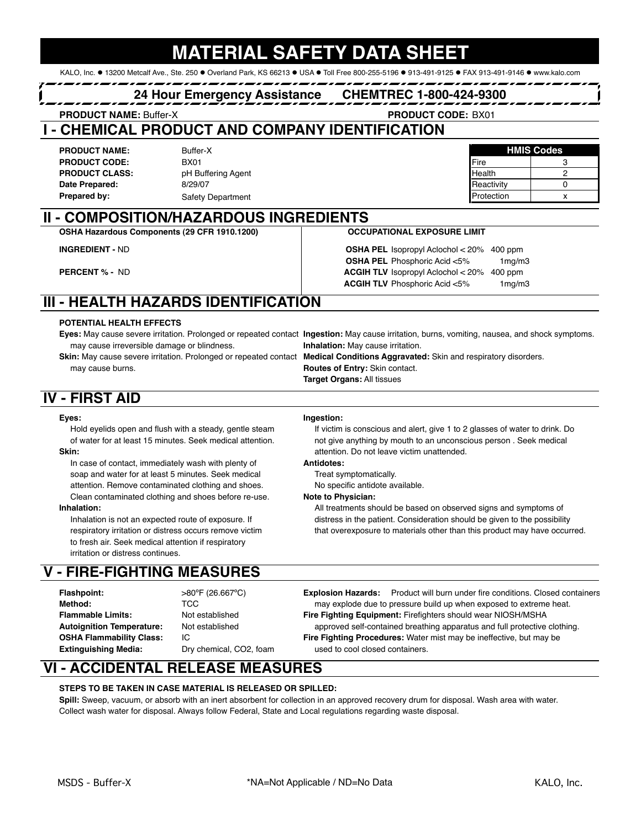# **MATERIAL SAFETY DATA**

KALO, Inc. ● 13200 Metcalf Ave., Ste. 250 ● Overland Park, KS 66213 ● USA ● Toll Free 800-255-5196 ● 913-491-9125 ● FAX 913-491-9146 ● www.kalo.com

### **24 Hour Emergency Assistance CHEMTREC 1-800-424-9300**

**PRODUCT NAME: Buffer-X** 

PRODUCT CODE: BX01

### **I - CHEMICAL PRODUCT AND COMPANY IDENTIFICATION**

**PRODUCT NAME:** Buffer-X **Buffer-X HMIS Codes PRODUCT CODE:** Fire 3 **PRODUCT CLASS:** PH Buffering Agent **CLASS** and CLASS and PH Buffering Agent and CLASS and CLASS and CLASS and CLASS and CLASS and CLASS and CLASS and CLASS and CLASS and CLASS and CLASS and CLASS and CLASS and CLASS and C **Date Prepared:** 8/29/07 **Reactivity 0 Date Prepared:** 0 **Prepared by:** Safety Department **All and Safety Department Contract Contract Contract Contract Contract Contract Contract Contract Contract Contract Contract Contract Contract Contract Contract Contract Contract Contrac** 

**INGREDIENT - ND** 

**PERCENT % - ND** 

Buffer-X BX01

**II - COMPOSITION/HAZARDOUS INGREDIENTS**

### **OCCUPATIONAL EXPOSURE LIMIT**

**OSHA PEL** Phosphoric Acid <5% 1mg/m3 **ACGIH TLV** Phosphoric Acid <5% 1mg/m3 OSHA PEL Isopropyl Aclochol < 20% 400 ppm **ACGIH TLV** Isopropyl Aclochol  $< 20\%$  400 ppm

## **III - HEALTH HAZARDS IDENTIFICATION**

**OSHA Hazardous Components (29 CFR 1910.1200)**

### **POTENTIAL HEALTH EFFECTS**

**Eyes:** May cause severe irritation. Prolonged or repeated contact **Ingestion:** May cause irritation, burns, vomiting, nausea, and shock symptoms. may cause irreversible damage or blindness. **Inhalation:** May cause irritation.

**Skin:** May cause severe irritation. Prolonged or repeated contact **Medical Conditions Aggravated:** Skin and respiratory disorders. may cause burns. **Routes of Entry:** Skin contact.

**Target Organs:** All tissues

## **IV - FIRST AID**

### **Eyes: Ingestion:**

Hold eyelids open and flush with a steady, gentle steam If victim is conscious and alert, give 1 to 2 glasses of water to drink. Do **Skin: Skin: attention.** Do not leave victim unattended.

In case of contact, immediately wash with plenty of **Antidotes:** soap and water for at least 5 minutes. Seek medical Treat symptomatically. attention. Remove contaminated clothing and shoes. No specific antidote available. Clean contaminated clothing and shoes before re-use. **Note to Physician:**

to fresh air. Seek medical attention if respiratory irritation or distress continues.

## **V - FIRE-FIGHTING MEASURES**

**Method:** TCC

of water for at least 15 minutes. Seek medical attention. not give anything by mouth to an unconscious person . Seek medical

**Inhalation:** All treatments should be based on observed signs and symptoms of Inhalation is not an expected route of exposure. If distress in the patient. Consideration should be given to the possibility respiratory irritation or distress occurs remove victim that overexposure to materials other than this product may have occurred.

**Flashpoint:** >80ºF (26.667ºC) **Explosion Hazards:** Product will burn under fire conditions. Closed containers **Flammable Limits:** Not established **Fire Fighting Equipment:** Firefighters should wear NIOSH/MSHA **Autoignition Temperature:** Not established approved self-contained breathing apparatus and full protective clothing. **OSHA Flammability Class:** IC **Fire Fighting Procedures:** Water mist may be ineffective, but may be **Extinguishing Media:** Dry chemical, CO2, foam used to cool closed containers. may explode due to pressure build up when exposed to extreme heat.

## **VI - ACCIDENTAL RELEASE MEASURES**

### **STEPS TO BE TAKEN IN CASE MATERIAL IS RELEASED OR SPILLED:**

**Spill:** Sweep, vacuum, or absorb with an inert absorbent for collection in an approved recovery drum for disposal. Wash area with water. Collect wash water for disposal. Always follow Federal, State and Local regulations regarding waste disposal.